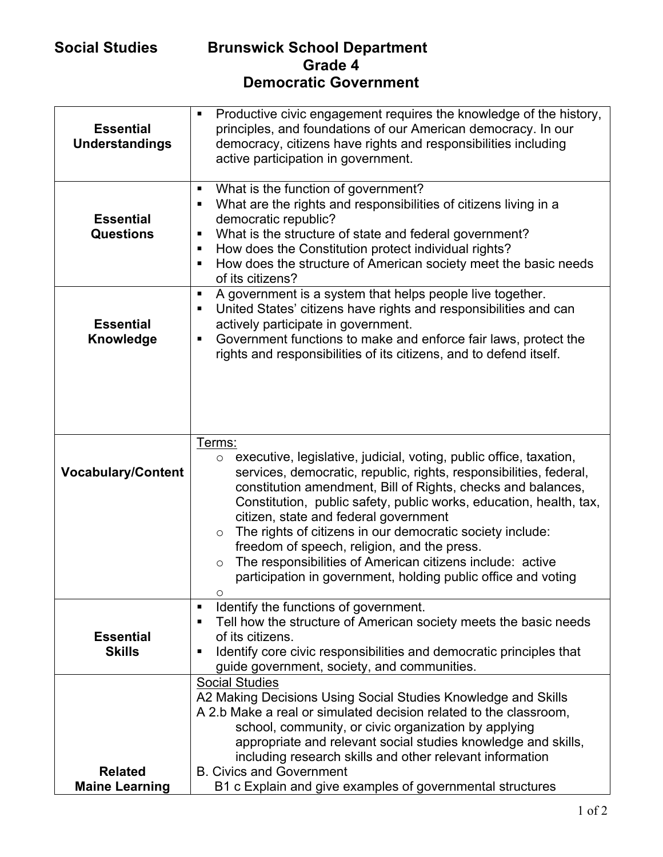## **Social Studies Brunswick School Department Grade 4 Democratic Government**

| <b>Essential</b><br><b>Understandings</b> | Productive civic engagement requires the knowledge of the history,<br>٠<br>principles, and foundations of our American democracy. In our<br>democracy, citizens have rights and responsibilities including<br>active participation in government.                                                                                                                                                                                                                                                                                                                                                                 |
|-------------------------------------------|-------------------------------------------------------------------------------------------------------------------------------------------------------------------------------------------------------------------------------------------------------------------------------------------------------------------------------------------------------------------------------------------------------------------------------------------------------------------------------------------------------------------------------------------------------------------------------------------------------------------|
| <b>Essential</b><br><b>Questions</b>      | What is the function of government?<br>п<br>What are the rights and responsibilities of citizens living in a<br>٠<br>democratic republic?<br>What is the structure of state and federal government?<br>п<br>How does the Constitution protect individual rights?<br>٠<br>How does the structure of American society meet the basic needs<br>٠<br>of its citizens?                                                                                                                                                                                                                                                 |
| <b>Essential</b><br>Knowledge             | A government is a system that helps people live together.<br>п<br>United States' citizens have rights and responsibilities and can<br>п<br>actively participate in government.<br>Government functions to make and enforce fair laws, protect the<br>٠<br>rights and responsibilities of its citizens, and to defend itself.                                                                                                                                                                                                                                                                                      |
| <b>Vocabulary/Content</b>                 | Terms:<br>executive, legislative, judicial, voting, public office, taxation,<br>$\circ$<br>services, democratic, republic, rights, responsibilities, federal,<br>constitution amendment, Bill of Rights, checks and balances,<br>Constitution, public safety, public works, education, health, tax,<br>citizen, state and federal government<br>The rights of citizens in our democratic society include:<br>$\circ$<br>freedom of speech, religion, and the press.<br>The responsibilities of American citizens include: active<br>$\circ$<br>participation in government, holding public office and voting<br>Ο |
| <b>Essential</b><br><b>Skills</b>         | Identify the functions of government.<br>٠<br>Tell how the structure of American society meets the basic needs<br>٠<br>of its citizens.<br>Identify core civic responsibilities and democratic principles that<br>٠<br>guide government, society, and communities.                                                                                                                                                                                                                                                                                                                                                |
| <b>Related</b><br><b>Maine Learning</b>   | <b>Social Studies</b><br>A2 Making Decisions Using Social Studies Knowledge and Skills<br>A 2.b Make a real or simulated decision related to the classroom,<br>school, community, or civic organization by applying<br>appropriate and relevant social studies knowledge and skills,<br>including research skills and other relevant information<br><b>B. Civics and Government</b><br>B1 c Explain and give examples of governmental structures                                                                                                                                                                  |